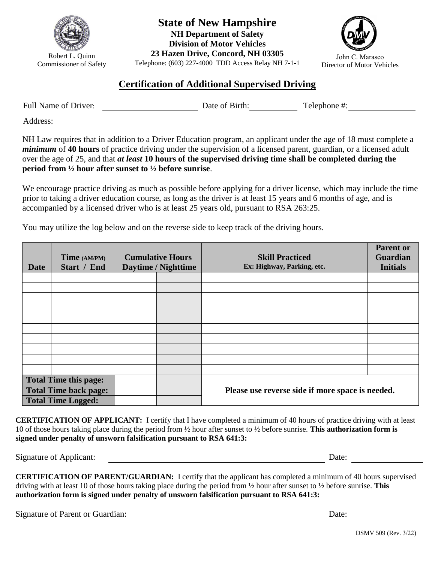

Robert L. Quinn Commissioner of Safety **State of New Hampshire NH Department of Safety Division of Motor Vehicles** 

**23 Hazen Drive, Concord, NH 03305**  Telephone: (603) 227-4000 TDD Access Relay NH 7-1-1



## **Certification of Additional Supervised Driving**

| Full Name of Driver: | Date of Birth: | Telephone #: |
|----------------------|----------------|--------------|
| Address:             |                |              |

NH Law requires that in addition to a Driver Education program, an applicant under the age of 18 must complete a *minimum* of **40 hours** of practice driving under the supervision of a licensed parent, guardian, or a licensed adult over the age of 25, and that *at least* **10 hours of the supervised driving time shall be completed during the period from ½ hour after sunset to ½ before sunrise**.

We encourage practice driving as much as possible before applying for a driver license, which may include the time prior to taking a driver education course, as long as the driver is at least 15 years and 6 months of age, and is accompanied by a licensed driver who is at least 25 years old, pursuant to RSA 263:25.

You may utilize the log below and on the reverse side to keep track of the driving hours.

| <b>Date</b>                  | Time (AM/PM)<br>Start / End |  | <b>Cumulative Hours</b><br>Daytime / Nighttime |                                                  | <b>Skill Practiced</b><br>Ex: Highway, Parking, etc. | <b>Parent or</b><br><b>Guardian</b><br><b>Initials</b> |
|------------------------------|-----------------------------|--|------------------------------------------------|--------------------------------------------------|------------------------------------------------------|--------------------------------------------------------|
|                              |                             |  |                                                |                                                  |                                                      |                                                        |
|                              |                             |  |                                                |                                                  |                                                      |                                                        |
|                              |                             |  |                                                |                                                  |                                                      |                                                        |
|                              |                             |  |                                                |                                                  |                                                      |                                                        |
|                              |                             |  |                                                |                                                  |                                                      |                                                        |
|                              |                             |  |                                                |                                                  |                                                      |                                                        |
|                              |                             |  |                                                |                                                  |                                                      |                                                        |
|                              |                             |  |                                                |                                                  |                                                      |                                                        |
|                              |                             |  |                                                |                                                  |                                                      |                                                        |
|                              |                             |  |                                                |                                                  |                                                      |                                                        |
| <b>Total Time this page:</b> |                             |  |                                                |                                                  |                                                      |                                                        |
| <b>Total Time back page:</b> |                             |  |                                                | Please use reverse side if more space is needed. |                                                      |                                                        |
| <b>Total Time Logged:</b>    |                             |  |                                                |                                                  |                                                      |                                                        |

**CERTIFICATION OF APPLICANT:** I certify that I have completed a minimum of 40 hours of practice driving with at least 10 of those hours taking place during the period from ½ hour after sunset to ½ before sunrise. **This authorization form is signed under penalty of unsworn falsification pursuant to RSA 641:3:**

Signature of Applicant: <u>Date:</u> Date: Date: Date:

**CERTIFICATION OF PARENT/GUARDIAN:** I certify that the applicant has completed a minimum of 40 hours supervised driving with at least 10 of those hours taking place during the period from ½ hour after sunset to ½ before sunrise. **This authorization form is signed under penalty of unsworn falsification pursuant to RSA 641:3:**

Signature of Parent or Guardian: Date: Date: Date: Date: Date: Date: Date: Date: Date: Date: Date: Date: Date: Date: Date: Date: Date: Date: Date: Date: Date: Date: Date: Date: Date: Date: Date: Date: Date: Date: Date: Dat